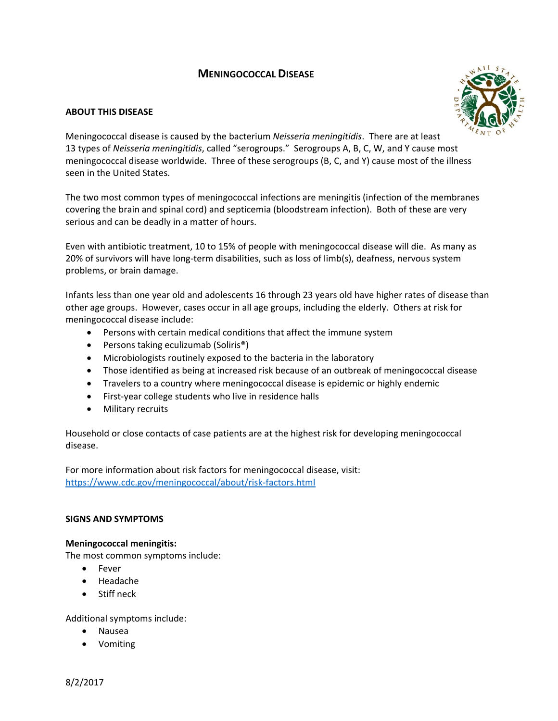# **MENINGOCOCCAL DISEASE**

### **ABOUT THIS DISEASE**



Meningococcal disease is caused by the bacterium *Neisseria meningitidis*. There are at least 13 types of *Neisseria meningitidis*, called "serogroups." Serogroups A, B, C, W, and Y cause most meningococcal disease worldwide. Three of these serogroups (B, C, and Y) cause most of the illness seen in the United States.

The two most common types of meningococcal infections are meningitis (infection of the membranes covering the brain and spinal cord) and septicemia (bloodstream infection). Both of these are very serious and can be deadly in a matter of hours.

Even with antibiotic treatment, 10 to 15% of people with meningococcal disease will die. As many as 20% of survivors will have long-term disabilities, such as loss of limb(s), deafness, nervous system problems, or brain damage.

Infants less than one year old and adolescents 16 through 23 years old have higher rates of disease than other age groups. However, cases occur in all age groups, including the elderly. Others at risk for meningococcal disease include:

- Persons with certain medical conditions that affect the immune system
- Persons taking eculizumab (Soliris®)
- Microbiologists routinely exposed to the bacteria in the laboratory
- Those identified as being at increased risk because of an outbreak of meningococcal disease
- Travelers to a country where meningococcal disease is epidemic or highly endemic
- First‐year college students who live in residence halls
- Military recruits

Household or close contacts of case patients are at the highest risk for developing meningococcal disease.

For more information about risk factors for meningococcal disease, visit: [https://www.cdc.gov/meningococcal/about/risk](https://www.cdc.gov/meningococcal/about/risk-factors.html)‐factors.html

#### **SIGNS AND SYMPTOMS**

#### **Meningococcal meningitis:**

The most common symptoms include:

- Fever
- Headache
- Stiff neck

Additional symptoms include:

- Nausea
- Vomiting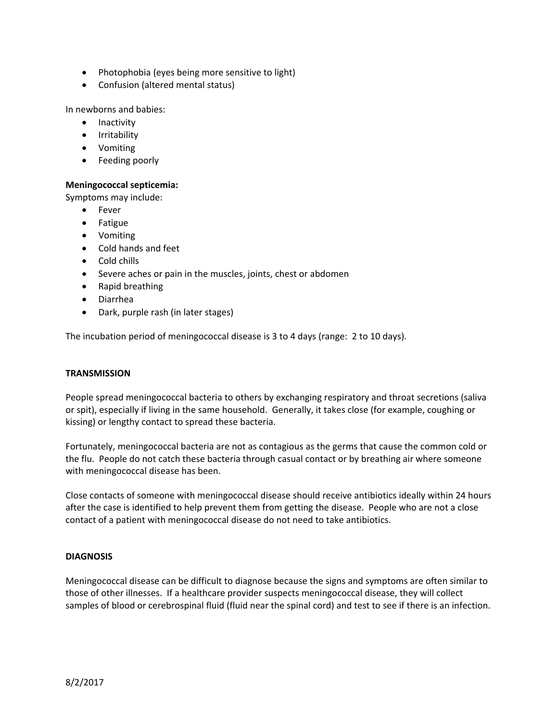- Photophobia (eyes being more sensitive to light)
- Confusion (altered mental status)

In newborns and babies:

- Inactivity
- **•** Irritability
- Vomiting
- Feeding poorly

### **Meningococcal septicemia:**

Symptoms may include:

- Fever
- Fatigue
- Vomiting
- Cold hands and feet
- Cold chills
- Severe aches or pain in the muscles, joints, chest or abdomen
- Rapid breathing
- Diarrhea
- Dark, purple rash (in later stages)

The incubation period of meningococcal disease is 3 to 4 days (range: 2 to 10 days).

### **TRANSMISSION**

People spread meningococcal bacteria to others by exchanging respiratory and throat secretions (saliva or spit), especially if living in the same household. Generally, it takes close (for example, coughing or kissing) or lengthy contact to spread these bacteria.

Fortunately, meningococcal bacteria are not as contagious as the germs that cause the common cold or the flu. People do not catch these bacteria through casual contact or by breathing air where someone with meningococcal disease has been.

Close contacts of someone with meningococcal disease should receive antibiotics ideally within 24 hours after the case is identified to help prevent them from getting the disease. People who are not a close contact of a patient with meningococcal disease do not need to take antibiotics.

### **DIAGNOSIS**

Meningococcal disease can be difficult to diagnose because the signs and symptoms are often similar to those of other illnesses. If a healthcare provider suspects meningococcal disease, they will collect samples of blood or cerebrospinal fluid (fluid near the spinal cord) and test to see if there is an infection.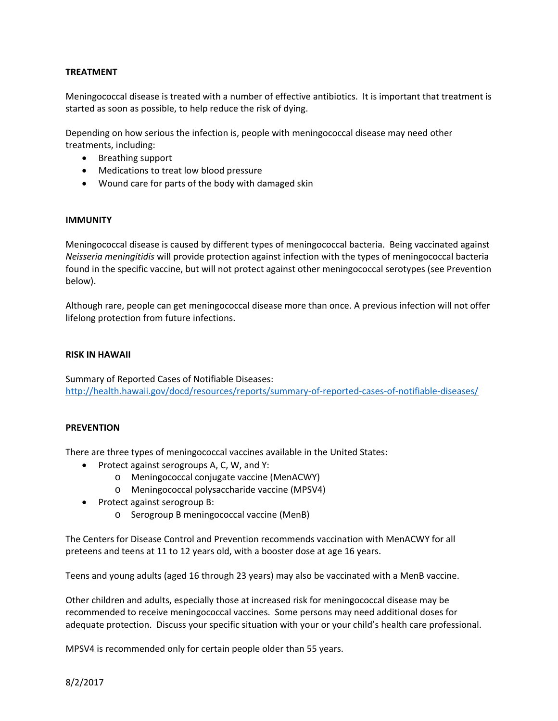### **TREATMENT**

Meningococcal disease is treated with a number of effective antibiotics. It is important that treatment is started as soon as possible, to help reduce the risk of dying.

Depending on how serious the infection is, people with meningococcal disease may need other treatments, including:

- Breathing support
- Medications to treat low blood pressure
- Wound care for parts of the body with damaged skin

#### **IMMUNITY**

Meningococcal disease is caused by different types of meningococcal bacteria. Being vaccinated against *Neisseria meningitidis* will provide protection against infection with the types of meningococcal bacteria found in the specific vaccine, but will not protect against other meningococcal serotypes (see Prevention below).

Although rare, people can get meningococcal disease more than once. A previous infection will not offer lifelong protection from future infections.

#### **RISK IN HAWAII**

Summary of Reported Cases of Notifiable Diseases: [http://health.hawaii.gov/docd/resources/reports/summary](http://health.hawaii.gov/docd/resources/reports/summary-of-reported-cases-of-notifiable-diseases/)‐of‐reported‐cases‐of‐notifiable‐diseases/

#### **PREVENTION**

There are three types of meningococcal vaccines available in the United States:

- Protect against serogroups A, C, W, and Y:
	- o Meningococcal conjugate vaccine (MenACWY)
	- o Meningococcal polysaccharide vaccine (MPSV4)
- Protect against serogroup B:
	- o Serogroup B meningococcal vaccine (MenB)

The Centers for Disease Control and Prevention recommends vaccination with MenACWY for all preteens and teens at 11 to 12 years old, with a booster dose at age 16 years.

Teens and young adults (aged 16 through 23 years) may also be vaccinated with a MenB vaccine.

Other children and adults, especially those at increased risk for meningococcal disease may be recommended to receive meningococcal vaccines. Some persons may need additional doses for adequate protection. Discuss your specific situation with your or your child's health care professional.

MPSV4 is recommended only for certain people older than 55 years.